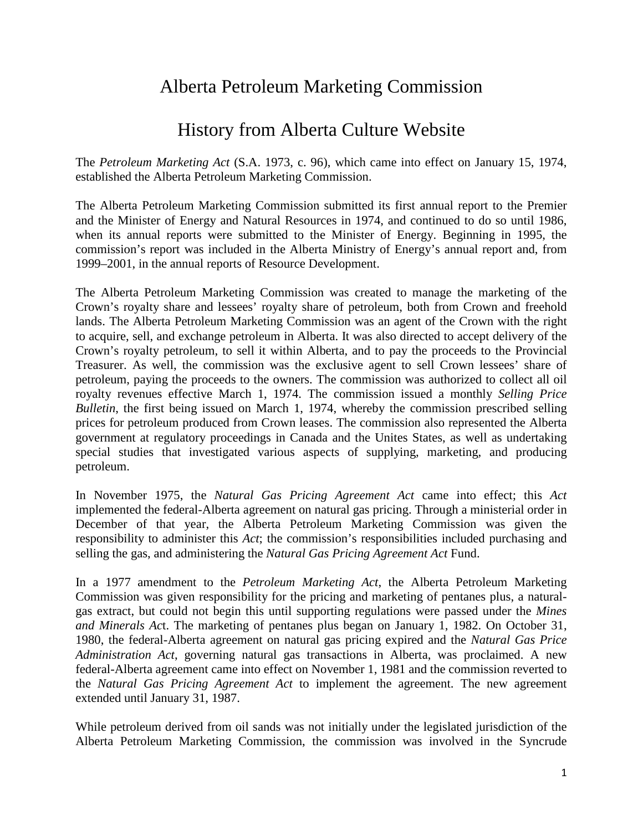## Alberta Petroleum Marketing Commission

## History from Alberta Culture Website

The *Petroleum Marketing Act* (S.A. 1973, c. 96), which came into effect on January 15, 1974, established the Alberta Petroleum Marketing Commission.

The Alberta Petroleum Marketing Commission submitted its first annual report to the Premier and the Minister of Energy and Natural Resources in 1974, and continued to do so until 1986, when its annual reports were submitted to the Minister of Energy. Beginning in 1995, the commission's report was included in the Alberta Ministry of Energy's annual report and, from 1999–2001, in the annual reports of Resource Development.

The Alberta Petroleum Marketing Commission was created to manage the marketing of the Crown's royalty share and lessees' royalty share of petroleum, both from Crown and freehold lands. The Alberta Petroleum Marketing Commission was an agent of the Crown with the right to acquire, sell, and exchange petroleum in Alberta. It was also directed to accept delivery of the Crown's royalty petroleum, to sell it within Alberta, and to pay the proceeds to the Provincial Treasurer. As well, the commission was the exclusive agent to sell Crown lessees' share of petroleum, paying the proceeds to the owners. The commission was authorized to collect all oil royalty revenues effective March 1, 1974. The commission issued a monthly *Selling Price Bulletin*, the first being issued on March 1, 1974, whereby the commission prescribed selling prices for petroleum produced from Crown leases. The commission also represented the Alberta government at regulatory proceedings in Canada and the Unites States, as well as undertaking special studies that investigated various aspects of supplying, marketing, and producing petroleum.

In November 1975, the *Natural Gas Pricing Agreement Act* came into effect; this *Act*  implemented the federal-Alberta agreement on natural gas pricing. Through a ministerial order in December of that year, the Alberta Petroleum Marketing Commission was given the responsibility to administer this *Act*; the commission's responsibilities included purchasing and selling the gas, and administering the *Natural Gas Pricing Agreement Act* Fund.

In a 1977 amendment to the *Petroleum Marketing Act*, the Alberta Petroleum Marketing Commission was given responsibility for the pricing and marketing of pentanes plus, a naturalgas extract, but could not begin this until supporting regulations were passed under the *Mines and Minerals Ac*t. The marketing of pentanes plus began on January 1, 1982. On October 31, 1980, the federal-Alberta agreement on natural gas pricing expired and the *Natural Gas Price Administration Act*, governing natural gas transactions in Alberta, was proclaimed. A new federal-Alberta agreement came into effect on November 1, 1981 and the commission reverted to the *Natural Gas Pricing Agreement Act* to implement the agreement. The new agreement extended until January 31, 1987.

While petroleum derived from oil sands was not initially under the legislated jurisdiction of the Alberta Petroleum Marketing Commission, the commission was involved in the Syncrude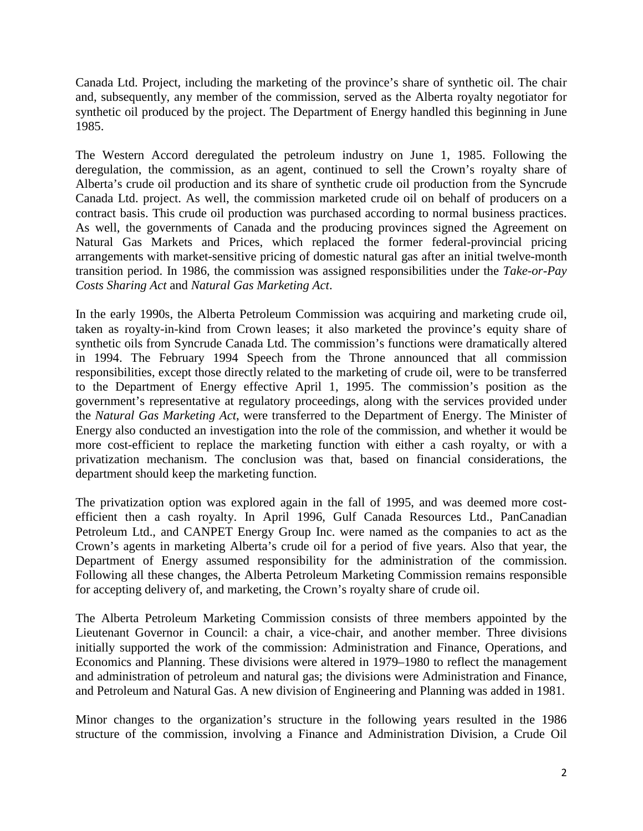Canada Ltd. Project, including the marketing of the province's share of synthetic oil. The chair and, subsequently, any member of the commission, served as the Alberta royalty negotiator for synthetic oil produced by the project. The Department of Energy handled this beginning in June 1985.

The Western Accord deregulated the petroleum industry on June 1, 1985. Following the deregulation, the commission, as an agent, continued to sell the Crown's royalty share of Alberta's crude oil production and its share of synthetic crude oil production from the Syncrude Canada Ltd. project. As well, the commission marketed crude oil on behalf of producers on a contract basis. This crude oil production was purchased according to normal business practices. As well, the governments of Canada and the producing provinces signed the Agreement on Natural Gas Markets and Prices, which replaced the former federal-provincial pricing arrangements with market-sensitive pricing of domestic natural gas after an initial twelve-month transition period. In 1986, the commission was assigned responsibilities under the *Take-or-Pay Costs Sharing Act* and *Natural Gas Marketing Act*.

In the early 1990s, the Alberta Petroleum Commission was acquiring and marketing crude oil, taken as royalty-in-kind from Crown leases; it also marketed the province's equity share of synthetic oils from Syncrude Canada Ltd. The commission's functions were dramatically altered in 1994. The February 1994 Speech from the Throne announced that all commission responsibilities, except those directly related to the marketing of crude oil, were to be transferred to the Department of Energy effective April 1, 1995. The commission's position as the government's representative at regulatory proceedings, along with the services provided under the *Natural Gas Marketing Act*, were transferred to the Department of Energy. The Minister of Energy also conducted an investigation into the role of the commission, and whether it would be more cost-efficient to replace the marketing function with either a cash royalty, or with a privatization mechanism. The conclusion was that, based on financial considerations, the department should keep the marketing function.

The privatization option was explored again in the fall of 1995, and was deemed more costefficient then a cash royalty. In April 1996, Gulf Canada Resources Ltd., PanCanadian Petroleum Ltd., and CANPET Energy Group Inc. were named as the companies to act as the Crown's agents in marketing Alberta's crude oil for a period of five years. Also that year, the Department of Energy assumed responsibility for the administration of the commission. Following all these changes, the Alberta Petroleum Marketing Commission remains responsible for accepting delivery of, and marketing, the Crown's royalty share of crude oil.

The Alberta Petroleum Marketing Commission consists of three members appointed by the Lieutenant Governor in Council: a chair, a vice-chair, and another member. Three divisions initially supported the work of the commission: Administration and Finance, Operations, and Economics and Planning. These divisions were altered in 1979–1980 to reflect the management and administration of petroleum and natural gas; the divisions were Administration and Finance, and Petroleum and Natural Gas. A new division of Engineering and Planning was added in 1981.

Minor changes to the organization's structure in the following years resulted in the 1986 structure of the commission, involving a Finance and Administration Division, a Crude Oil